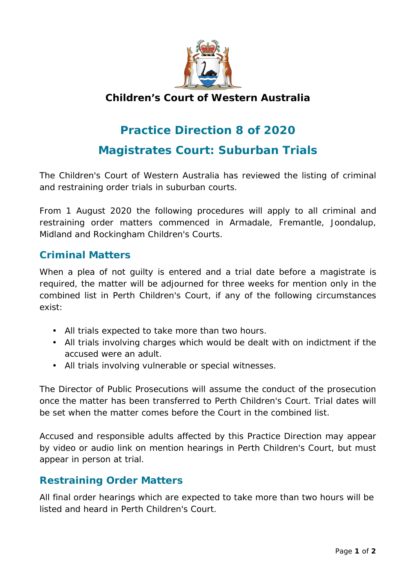

## **Children's Court of Western Australia**

## **Practice Direction 8 of 2020 Magistrates Court: Suburban Trials**

The Children's Court of Western Australia has reviewed the listing of criminal and restraining order trials in suburban courts.

From 1 August 2020 the following procedures will apply to all criminal and restraining order matters commenced in Armadale, Fremantle, Joondalup, Midland and Rockingham Children's Courts.

## **Criminal Matters**

When a plea of not guilty is entered and a trial date before a magistrate is required, the matter will be adjourned for three weeks for mention only in the combined list in Perth Children's Court, if any of the following circumstances exist:

- All trials expected to take more than two hours.
- All trials involving charges which would be dealt with on indictment if the accused were an adult.
- All trials involving vulnerable or special witnesses.

The Director of Public Prosecutions will assume the conduct of the prosecution once the matter has been transferred to Perth Children's Court. Trial dates will be set when the matter comes before the Court in the combined list.

Accused and responsible adults affected by this Practice Direction may appear by video or audio link on mention hearings in Perth Children's Court, but must appear in person at trial.

## **Restraining Order Matters**

All final order hearings which are expected to take more than two hours will be listed and heard in Perth Children's Court.